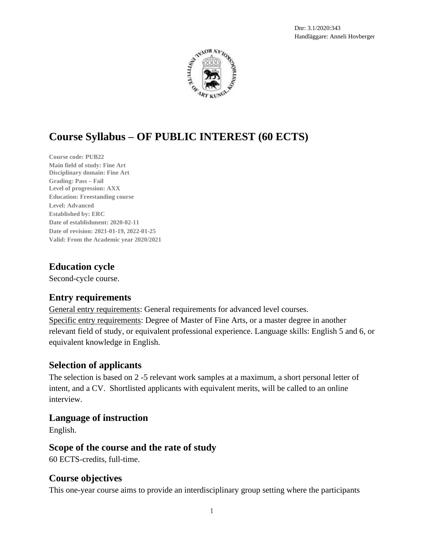

# **Course Syllabus – OF PUBLIC INTEREST (60 ECTS)**

**Course code: PUB22 Main field of study: Fine Art Disciplinary domain: Fine Art Grading: Pass – Fail Level of progression: AXX Education: Freestanding course Level: Advanced Established by: ERC Date of establishment: 2020-02-11 Date of revision: 2021-01-19, 2022-01-25 Valid: From the Academic year 2020/2021**

### **Education cycle**

Second-cycle course.

### **Entry requirements**

General entry requirements: General requirements for advanced level courses. Specific entry requirements: Degree of Master of Fine Arts, or a master degree in another relevant field of study, or equivalent professional experience. Language skills: English 5 and 6, or equivalent knowledge in English.

### **Selection of applicants**

The selection is based on 2 -5 relevant work samples at a maximum, a short personal letter of intent, and a CV. Shortlisted applicants with equivalent merits, will be called to an online interview.

### **Language of instruction**

English.

### **Scope of the course and the rate of study**

60 ECTS-credits, full-time.

### **Course objectives**

This one-year course aims to provide an interdisciplinary group setting where the participants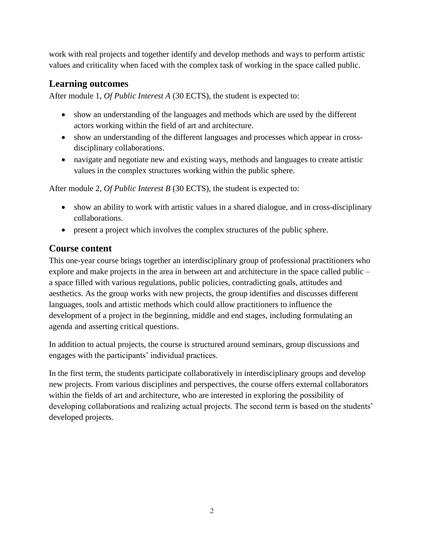work with real projects and together identify and develop methods and ways to perform artistic values and criticality when faced with the complex task of working in the space called public.

### **Learning outcomes**

After module 1, *Of Public Interest A* (30 ECTS), the student is expected to:

- show an understanding of the languages and methods which are used by the different actors working within the field of art and architecture.
- show an understanding of the different languages and processes which appear in crossdisciplinary collaborations.
- navigate and negotiate new and existing ways, methods and languages to create artistic values in the complex structures working within the public sphere.

After module 2, *Of Public Interest B* (30 ECTS), the student is expected to:

- show an ability to work with artistic values in a shared dialogue, and in cross-disciplinary collaborations.
- present a project which involves the complex structures of the public sphere.

# **Course content**

This one-year course brings together an interdisciplinary group of professional practitioners who explore and make projects in the area in between art and architecture in the space called public – a space filled with various regulations, public policies, contradicting goals, attitudes and aesthetics. As the group works with new projects, the group identifies and discusses different languages, tools and artistic methods which could allow practitioners to influence the development of a project in the beginning, middle and end stages, including formulating an agenda and asserting critical questions.

In addition to actual projects, the course is structured around seminars, group discussions and engages with the participants' individual practices.

In the first term, the students participate collaboratively in interdisciplinary groups and develop new projects. From various disciplines and perspectives, the course offers external collaborators within the fields of art and architecture, who are interested in exploring the possibility of developing collaborations and realizing actual projects. The second term is based on the students' developed projects.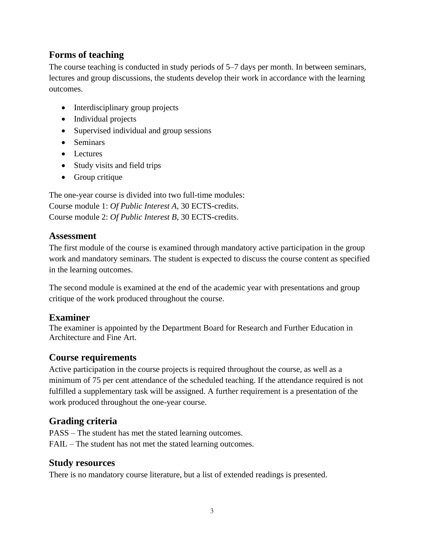### **Forms of teaching**

The course teaching is conducted in study periods of 5–7 days per month. In between seminars, lectures and group discussions, the students develop their work in accordance with the learning outcomes.

- Interdisciplinary group projects
- Individual projects
- Supervised individual and group sessions
- Seminars
- Lectures
- Study visits and field trips
- Group critique

The one-year course is divided into two full-time modules: Course module 1: *Of Public Interest A*, 30 ECTS-credits. Course module 2: *Of Public Interest B*, 30 ECTS-credits.

### **Assessment**

The first module of the course is examined through mandatory active participation in the group work and mandatory seminars. The student is expected to discuss the course content as specified in the learning outcomes.

The second module is examined at the end of the academic year with presentations and group critique of the work produced throughout the course.

# **Examiner**

The examiner is appointed by the Department Board for Research and Further Education in Architecture and Fine Art.

### **Course requirements**

Active participation in the course projects is required throughout the course, as well as a minimum of 75 per cent attendance of the scheduled teaching. If the attendance required is not fulfilled a supplementary task will be assigned. A further requirement is a presentation of the work produced throughout the one-year course.

# **Grading criteria**

PASS – The student has met the stated learning outcomes. FAIL – The student has not met the stated learning outcomes.

### **Study resources**

There is no mandatory course literature, but a list of extended readings is presented.